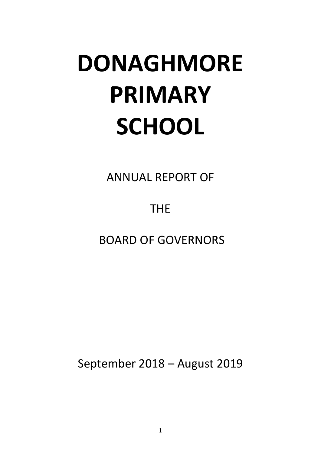# **DONAGHMORE PRIMARY SCHOOL**

ANNUAL REPORT OF

THE

BOARD OF GOVERNORS

September 2018 – August 2019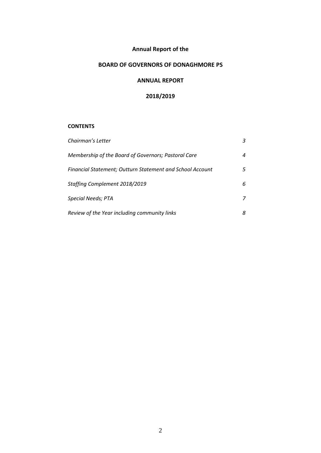## **Annual Report of the**

## **BOARD OF GOVERNORS OF DONAGHMORE PS**

## **ANNUAL REPORT**

## **2018/2019**

## **CONTENTS**

| Chairman's Letter                                         | 3 |
|-----------------------------------------------------------|---|
| Membership of the Board of Governors; Pastoral Care       | 4 |
| Financial Statement; Outturn Statement and School Account | 5 |
| Staffing Complement 2018/2019                             | 6 |
| <b>Special Needs; PTA</b>                                 | 7 |
| Review of the Year including community links              | 8 |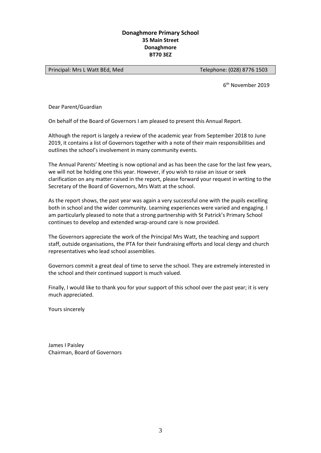## **Donaghmore Primary School 35 Main Street Donaghmore BT70 3EZ**

Principal: Mrs L Watt BEd, Med
Telephone: (028) 8776 1503

6 th November 2019

Dear Parent/Guardian

On behalf of the Board of Governors I am pleased to present this Annual Report.

Although the report is largely a review of the academic year from September 2018 to June 2019, it contains a list of Governors together with a note of their main responsibilities and outlines the school's involvement in many community events.

The Annual Parents' Meeting is now optional and as has been the case for the last few years, we will not be holding one this year. However, if you wish to raise an issue or seek clarification on any matter raised in the report, please forward your request in writing to the Secretary of the Board of Governors, Mrs Watt at the school.

As the report shows, the past year was again a very successful one with the pupils excelling both in school and the wider community. Learning experiences were varied and engaging. I am particularly pleased to note that a strong partnership with St Patrick's Primary School continues to develop and extended wrap-around care is now provided.

The Governors appreciate the work of the Principal Mrs Watt, the teaching and support staff, outside organisations, the PTA for their fundraising efforts and local clergy and church representatives who lead school assemblies.

Governors commit a great deal of time to serve the school. They are extremely interested in the school and their continued support is much valued.

Finally, I would like to thank you for your support of this school over the past year; it is very much appreciated.

Yours sincerely

James I Paisley Chairman, Board of Governors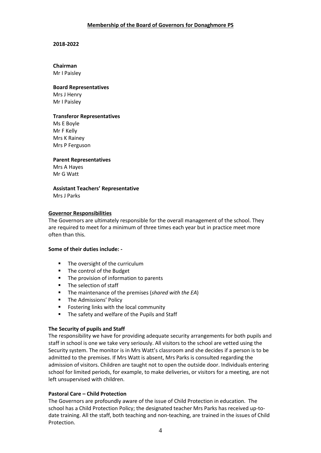## **Membership of the Board of Governors for Donaghmore PS**

#### **2018-2022**

# **Chairman**

Mr I Paisley

## **Board Representatives**

Mrs J Henry Mr I Paisley

## **Transferor Representatives**

Ms E Boyle Mr F Kelly Mrs K Rainey Mrs P Ferguson

## **Parent Representatives**

Mrs A Hayes Mr G Watt

## **Assistant Teachers' Representative**

Mrs J Parks

#### **Governor Responsibilities**  $\frac{1}{2}$

The Governors are ultimately responsible for the overall management of the school. They are required to meet for a minimum of three times each year but in practice meet more often than this.

## **Some of their duties include: -**

- The oversight of the curriculum
- The control of the Budget
- **The provision of information to parents**
- **The selection of staff**
- The maintenance of the premises (*shared with the EA*)
- **The Admissions' Policy**
- **FICE FOSTER FIGURE 1** Fostering links with the local community
- The safety and welfare of the Pupils and Staff

## **The Security of pupils and Staff**

The responsibility we have for providing adequate security arrangements for both pupils and staff in school is one we take very seriously. All visitors to the school are vetted using the Security system. The monitor is in Mrs Watt's classroom and she decides if a person is to be admitted to the premises. If Mrs Watt is absent, Mrs Parks is consulted regarding the admission of visitors. Children are taught not to open the outside door. Individuals entering school for limited periods, for example, to make deliveries, or visitors for a meeting, are not left unsupervised with children.

## **Pastoral Care – Child Protection**

The Governors are profoundly aware of the issue of Child Protection in education. The school has a Child Protection Policy; the designated teacher Mrs Parks has received up-todate training. All the staff, both teaching and non-teaching, are trained in the issues of Child Protection.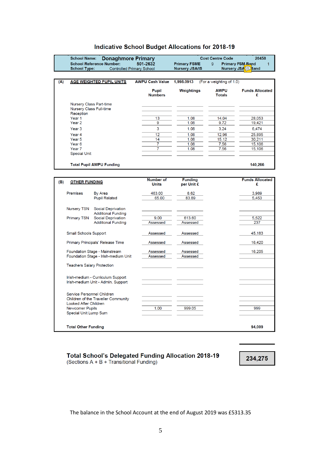## Indicative School Budget Allocations for 2018-19

|                                             | <b>School Name:</b>                                | <b>Donaghmore Primary</b>                              |                                  |                              | <b>Cost Centre Code</b>                 | 20458                       |
|---------------------------------------------|----------------------------------------------------|--------------------------------------------------------|----------------------------------|------------------------------|-----------------------------------------|-----------------------------|
| <b>School Reference Number:</b><br>501-2632 |                                                    |                                                        | <b>Primary FSME</b>              | $\overline{9}$               | <b>Primary FSM Band</b><br>$\mathbf{1}$ |                             |
|                                             | <b>School Type:</b>                                |                                                        | <b>Controlled Primary School</b> | <b>Nursery JSA/IS</b>        | <b>Nursery JSA</b> <sup>(IS)</sup>      | Band                        |
|                                             |                                                    |                                                        |                                  |                              |                                         |                             |
| (A)                                         |                                                    | <b>AGE WEIGHTED PUPIL UNITS</b>                        | <b>AWPU Cash Value</b>           | 1,998.0913                   | (For a weighting of 1.0)                |                             |
|                                             |                                                    |                                                        | <b>Pupil</b><br><b>Numbers</b>   | Weightings                   | <b>AWPU</b><br><b>Totals</b>            | <b>Funds Allocated</b><br>£ |
|                                             | Nursery Class Part-time<br>Nursery Class Full-time |                                                        |                                  |                              |                                         |                             |
|                                             | Reception<br>Year <sub>1</sub>                     |                                                        | 13                               | 1.08                         | 14.04                                   | 28,053                      |
|                                             | Year <sub>2</sub>                                  |                                                        | 9                                | 1.08                         | 9.72                                    | 19,421                      |
|                                             | Year <sub>3</sub>                                  |                                                        | 3                                | 1.08                         | 3.24                                    | 6,474                       |
|                                             | Year <sub>4</sub>                                  |                                                        | 12                               | 1.08                         | 12.96                                   | 25.895                      |
|                                             | Year <sub>5</sub>                                  |                                                        | 14                               | 1.08                         | 15.12                                   | 30,211                      |
|                                             | Year <sub>6</sub>                                  |                                                        | $\overline{7}$                   | 1.08                         | 7.56                                    | 15,106                      |
|                                             | Year 7                                             |                                                        | 7                                | 1.08                         | 7.56                                    | 15,106                      |
|                                             | <b>Special Unit</b>                                |                                                        |                                  |                              |                                         |                             |
|                                             |                                                    | <b>Total Pupil AWPU Funding</b>                        |                                  |                              |                                         | 140,266                     |
|                                             |                                                    |                                                        |                                  |                              |                                         |                             |
|                                             |                                                    |                                                        | Number of                        |                              |                                         |                             |
| (B)                                         | <b>OTHER FUNDING</b>                               |                                                        | Units                            | <b>Funding</b><br>per Unit £ |                                         | <b>Funds Allocated</b><br>£ |
|                                             | Premises                                           | By Area                                                | 463.00                           | 8.62                         |                                         | 3,989                       |
|                                             |                                                    | <b>Pupil Related</b>                                   | 65.00                            | 83.89                        |                                         | 5,453                       |
|                                             |                                                    |                                                        |                                  |                              |                                         |                             |
|                                             | <b>Nursery TSN</b>                                 | <b>Social Deprivation</b>                              |                                  |                              |                                         |                             |
|                                             | <b>Primary TSN</b>                                 | <b>Additional Funding</b><br><b>Social Deprivation</b> | 9.00                             | 613.60                       |                                         | 5,522                       |
|                                             |                                                    | <b>Additional Funding</b>                              | Assessed                         | Assessed                     |                                         | 237                         |
|                                             |                                                    |                                                        |                                  |                              |                                         |                             |
|                                             | <b>Small Schools Support</b>                       |                                                        | Assessed                         | Assessed                     |                                         | 45,183                      |
|                                             |                                                    | Primary Principals' Release Time                       | Assessed                         | Assessed                     |                                         | 16,420                      |
|                                             |                                                    | Foundation Stage - Mainstream                          | Assessed                         | Assessed                     |                                         | 16,205                      |
|                                             |                                                    | Foundation Stage - Irish-medium Unit                   | Assessed                         | Assessed                     |                                         |                             |
|                                             | <b>Teachers Salary Protection</b>                  |                                                        |                                  |                              |                                         |                             |
|                                             |                                                    |                                                        |                                  |                              |                                         |                             |
| Irish-medium - Curriculum Support           |                                                    |                                                        |                                  |                              |                                         |                             |
|                                             |                                                    | Irish-medium Unit - Admin. Support                     |                                  |                              |                                         |                             |
| Service Personnel Children                  |                                                    |                                                        |                                  |                              |                                         |                             |
|                                             |                                                    | Children of the Traveller Community                    |                                  |                              |                                         |                             |
|                                             | <b>Looked After Children</b>                       |                                                        |                                  |                              |                                         |                             |
|                                             | <b>Newcomer Pupils</b>                             |                                                        | 1.00                             | 999.05                       |                                         | 999                         |
|                                             | Special Unit Lump Sum                              |                                                        |                                  |                              |                                         |                             |

Total School's Delegated Funding Allocation 2018-19 (Sections A + B + Transitional Funding)

**Total Other Funding** 

234,275

94,009

The balance in the School Account at the end of August 2019 was £5313.35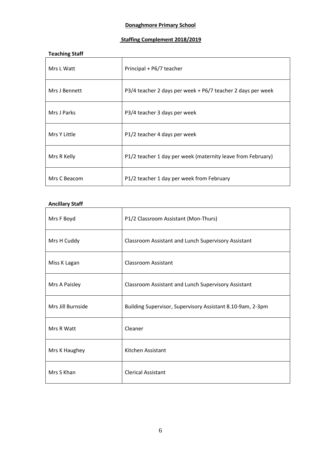## **Donaghmore Primary School**

## **Staffing Complement 2018/2019**

| <b>Teaching Staff</b> |                                                             |  |
|-----------------------|-------------------------------------------------------------|--|
| Mrs L Watt            | Principal + P6/7 teacher                                    |  |
| Mrs J Bennett         | P3/4 teacher 2 days per week + P6/7 teacher 2 days per week |  |
| Mrs J Parks           | P3/4 teacher 3 days per week                                |  |
| Mrs Y Little          | P1/2 teacher 4 days per week                                |  |
| Mrs R Kelly           | P1/2 teacher 1 day per week (maternity leave from February) |  |
| Mrs C Beacom          | P1/2 teacher 1 day per week from February                   |  |

## **Ancillary Staff**

| Mrs F Boyd        | P1/2 Classroom Assistant (Mon-Thurs)                       |  |
|-------------------|------------------------------------------------------------|--|
| Mrs H Cuddy       | Classroom Assistant and Lunch Supervisory Assistant        |  |
| Miss K Lagan      | <b>Classroom Assistant</b>                                 |  |
| Mrs A Paisley     | Classroom Assistant and Lunch Supervisory Assistant        |  |
| Mrs Jill Burnside | Building Supervisor, Supervisory Assistant 8.10-9am, 2-3pm |  |
| Mrs R Watt        | Cleaner                                                    |  |
| Mrs K Haughey     | Kitchen Assistant                                          |  |
| Mrs S Khan        | <b>Clerical Assistant</b>                                  |  |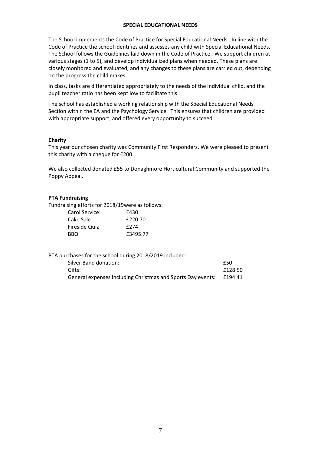## **SPECIAL EDUCATIONAL NEEDS**

The School implements the Code of Practice for Special Educational Needs. In line with the Code of Practice the school identifies and assesses any child with Special Educational Needs. The School follows the Guidelines laid down in the Code of Practice. We support children at various stages (1 to 5), and develop individualized plans when needed. These plans are closely monitored and evaluated, and any changes to these plans are carried out, depending on the progress the child makes.

In class, tasks are differentiated appropriately to the needs of the individual child, and the pupil teacher ratio has been kept low to facilitate this.

The school has established a working relationship with the Special Educational Needs Section within the EA and the Psychology Service. This ensures that children are provided with appropriate support, and offered every opportunity to succeed.

## **Charity**

This year our chosen charity was Community First Responders. We were pleased to present this charity with a cheque for £200.

We also collected donated £55 to Donaghmore Horticultural Community and supported the Poppy Appeal.

#### **PTA Fundraising**

Fundraising efforts for 2018/19were as follows:

| Carol Service: | £430     |
|----------------|----------|
| Cake Sale      | £220.70  |
| Fireside Quiz  | f274     |
| BBO.           | £3495.77 |

PTA purchases for the school during 2018/2019 included:

| Silver Band donation:                                       | £50     |
|-------------------------------------------------------------|---------|
| Gifts:                                                      | £128.50 |
| General expenses including Christmas and Sports Day events: | £194.41 |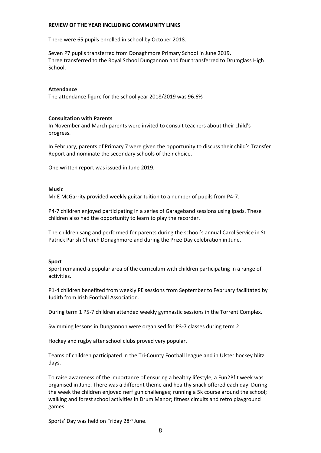## **REVIEW OF THE YEAR INCLUDING COMMUNITY LINKS**

There were 65 pupils enrolled in school by October 2018.

Seven P7 pupils transferred from Donaghmore Primary School in June 2019. Three transferred to the Royal School Dungannon and four transferred to Drumglass High School.

#### **Attendance**

The attendance figure for the school year 2018/2019 was 96.6%

#### **Consultation with Parents**

In November and March parents were invited to consult teachers about their child's progress.

In February, parents of Primary 7 were given the opportunity to discuss their child's Transfer Report and nominate the secondary schools of their choice.

One written report was issued in June 2019.

#### **Music**

Mr E McGarrity provided weekly guitar tuition to a number of pupils from P4-7.

P4-7 children enjoyed participating in a series of Garageband sessions using ipads. These children also had the opportunity to learn to play the recorder.

The children sang and performed for parents during the school's annual Carol Service in St Patrick Parish Church Donaghmore and during the Prize Day celebration in June.

## **Sport**

Sport remained a popular area of the curriculum with children participating in a range of activities.

P1-4 children benefited from weekly PE sessions from September to February facilitated by Judith from Irish Football Association.

During term 1 P5-7 children attended weekly gymnastic sessions in the Torrent Complex.

Swimming lessons in Dungannon were organised for P3-7 classes during term 2

Hockey and rugby after school clubs proved very popular.

Teams of children participated in the Tri-County Football league and in Ulster hockey blitz days.

To raise awareness of the importance of ensuring a healthy lifestyle, a Fun2Bfit week was organised in June. There was a different theme and healthy snack offered each day. During the week the children enjoyed nerf gun challenges; running a 5k course around the school; walking and forest school activities in Drum Manor; fitness circuits and retro playground games.

Sports' Day was held on Friday 28<sup>th</sup> June.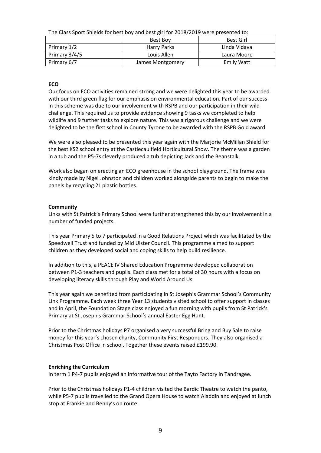The Class Sport Shields for best boy and best girl for 2018/2019 were presented to:

|               | Best Boy         | Best Girl         |  |
|---------------|------------------|-------------------|--|
| Primary 1/2   | Harry Parks      | Linda Vidava      |  |
| Primary 3/4/5 | Louis Allen      | Laura Moore       |  |
| Primary 6/7   | James Montgomery | <b>Emily Watt</b> |  |

## **ECO**

Our focus on ECO activities remained strong and we were delighted this year to be awarded with our third green flag for our emphasis on environmental education. Part of our success in this scheme was due to our involvement with RSPB and our participation in their wild challenge. This required us to provide evidence showing 9 tasks we completed to help wildlife and 9 further tasks to explore nature. This was a rigorous challenge and we were delighted to be the first school in County Tyrone to be awarded with the RSPB Gold award.

We were also pleased to be presented this year again with the Marjorie McMillan Shield for the best KS2 school entry at the Castlecaulfield Horticultural Show. The theme was a garden in a tub and the P5-7s cleverly produced a tub depicting Jack and the Beanstalk.

Work also began on erecting an ECO greenhouse in the school playground. The frame was kindly made by Nigel Johnston and children worked alongside parents to begin to make the panels by recycling 2L plastic bottles.

## **Community**

Links with St Patrick's Primary School were further strengthened this by our involvement in a number of funded projects.

This year Primary 5 to 7 participated in a Good Relations Project which was facilitated by the Speedwell Trust and funded by Mid Ulster Council. This programme aimed to support children as they developed social and coping skills to help build resilience.

In addition to this, a PEACE IV Shared Education Programme developed collaboration between P1-3 teachers and pupils. Each class met for a total of 30 hours with a focus on developing literacy skills through Play and World Around Us.

This year again we benefited from participating in St Joseph's Grammar School's Community Link Programme. Each week three Year 13 students visited school to offer support in classes and in April, the Foundation Stage class enjoyed a fun morning with pupils from St Patrick's Primary at St Joseph's Grammar School's annual Easter Egg Hunt.

Prior to the Christmas holidays P7 organised a very successful Bring and Buy Sale to raise money for this year's chosen charity, Community First Responders. They also organised a Christmas Post Office in school. Together these events raised £199.90.

## **Enriching the Curriculum**

In term 1 P4-7 pupils enjoyed an informative tour of the Tayto Factory in Tandragee.

Prior to the Christmas holidays P1-4 children visited the Bardic Theatre to watch the panto, while P5-7 pupils travelled to the Grand Opera House to watch Aladdin and enjoyed at lunch stop at Frankie and Benny's on route.